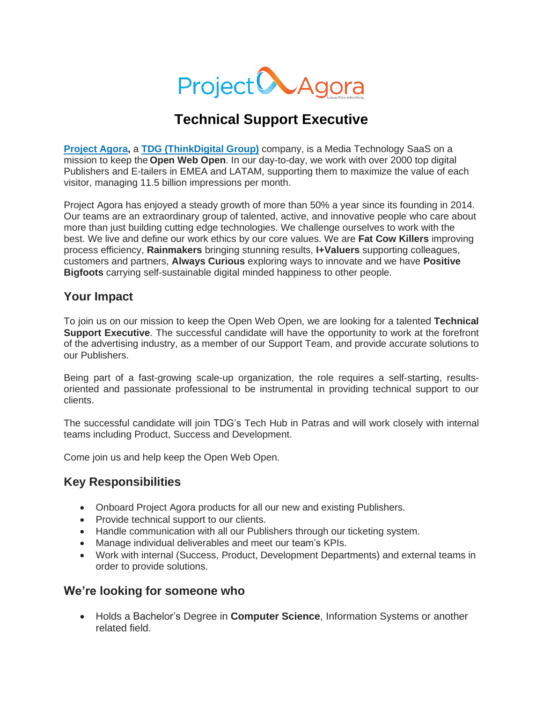

# **Technical Support Executive**

**[Project](http://www.projectagora.com/) Agora,** a **TDG [\(ThinkDigital](https://thinkdigitalgroup.net/) Group)** company, is a Media Technology SaaS on a mission to keep the **Open Web Open**. In our day-to-day, we work with over 2000 top digital Publishers and E-tailers in EMEA and LATAM, supporting them to maximize the value of each visitor, managing 11.5 billion impressions per month.

Project Agora has enjoyed a steady growth of more than 50% a year since its founding in 2014. Our teams are an extraordinary group of talented, active, and innovative people who care about more than just building cutting edge technologies. We challenge ourselves to work with the best. We live and define our work ethics by our core values. We are **Fat Cow Killers** improving process efficiency, **Rainmakers** bringing stunning results, **I+Valuers** supporting colleagues, customers and partners, **Always Curious** exploring ways to innovate and we have **Positive Bigfoots** carrying self-sustainable digital minded happiness to other people.

#### **Your Impact**

To join us on our mission to keep the Open Web Open, we are looking for a talented **Technical Support Executive**. The successful candidate will have the opportunity to work at the forefront of the advertising industry, as a member of our Support Team, and provide accurate solutions to our Publishers.

Being part of a fast-growing scale-up organization, the role requires a self-starting, resultsoriented and passionate professional to be instrumental in providing technical support to our clients.

The successful candidate will join TDG's Tech Hub in Patras and will work closely with internal teams including Product, Success and Development.

Come join us and help keep the Open Web Open.

#### **Key Responsibilities**

- Onboard Project Agora products for all our new and existing Publishers.
- Provide technical support to our clients.
- Handle communication with all our Publishers through our ticketing system.
- Manage individual deliverables and meet our team's KPIs.
- Work with internal (Success, Product, Development Departments) and external teams in order to provide solutions.

#### **We're looking for someone who**

• Holds a Bachelor's Degree in **Computer Science**, Information Systems or another related field.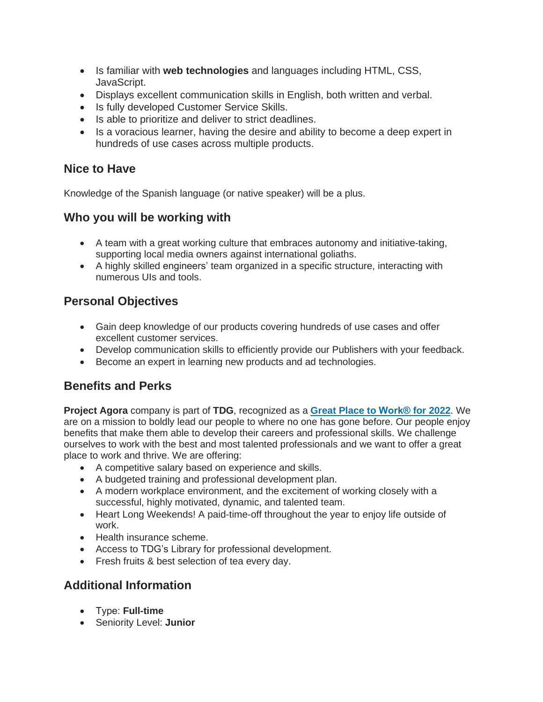- Is familiar with **web technologies** and languages including HTML, CSS, JavaScript.
- Displays excellent communication skills in English, both written and verbal.
- Is fully developed Customer Service Skills.
- Is able to prioritize and deliver to strict deadlines.
- Is a voracious learner, having the desire and ability to become a deep expert in hundreds of use cases across multiple products.

## **Nice to Have**

Knowledge of the Spanish language (or native speaker) will be a plus.

## **Who you will be working with**

- A team with a great working culture that embraces autonomy and initiative-taking, supporting local media owners against international goliaths.
- A highly skilled engineers' team organized in a specific structure, interacting with numerous UIs and tools.

# **Personal Objectives**

- Gain deep knowledge of our products covering hundreds of use cases and offer excellent customer services.
- Develop communication skills to efficiently provide our Publishers with your feedback.
- Become an expert in learning new products and ad technologies.

# **Benefits and Perks**

**Project Agora** company is part of **TDG**, recognized as a **Great Place to [Work®](https://www.greatplacetowork.gr/certified-companies/thinkdigital-group/) for 2022**. We are on a mission to boldly lead our people to where no one has gone before. Our people enjoy benefits that make them able to develop their careers and professional skills. We challenge ourselves to work with the best and most talented professionals and we want to offer a great place to work and thrive. We are offering:

- A competitive salary based on experience and skills.
- A budgeted training and professional development plan.
- A modern workplace environment, and the excitement of working closely with a successful, highly motivated, dynamic, and talented team.
- Heart Long Weekends! A paid-time-off throughout the year to enjoy life outside of work.
- Health insurance scheme.
- Access to TDG's Library for professional development.
- Fresh fruits & best selection of tea every day.

## **Additional Information**

- Τype: **Full-time**
- Seniority Level: **Junior**